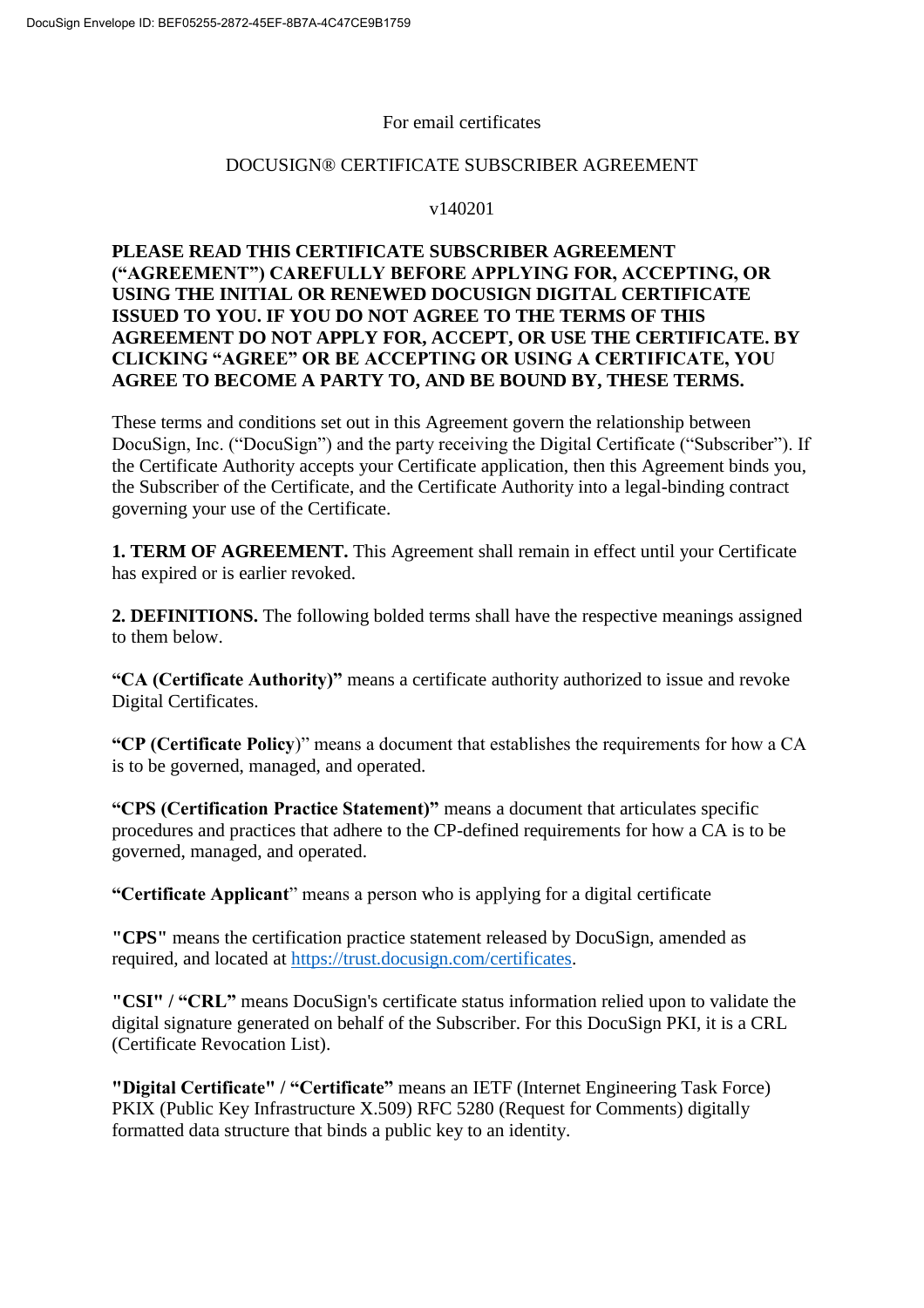#### For email certificates

#### DOCUSIGN® CERTIFICATE SUBSCRIBER AGREEMENT

#### v140201

#### **PLEASE READ THIS CERTIFICATE SUBSCRIBER AGREEMENT ("AGREEMENT") CAREFULLY BEFORE APPLYING FOR, ACCEPTING, OR USING THE INITIAL OR RENEWED DOCUSIGN DIGITAL CERTIFICATE ISSUED TO YOU. IF YOU DO NOT AGREE TO THE TERMS OF THIS AGREEMENT DO NOT APPLY FOR, ACCEPT, OR USE THE CERTIFICATE. BY CLICKING "AGREE" OR BE ACCEPTING OR USING A CERTIFICATE, YOU AGREE TO BECOME A PARTY TO, AND BE BOUND BY, THESE TERMS.**

These terms and conditions set out in this Agreement govern the relationship between DocuSign, Inc. ("DocuSign") and the party receiving the Digital Certificate ("Subscriber"). If the Certificate Authority accepts your Certificate application, then this Agreement binds you, the Subscriber of the Certificate, and the Certificate Authority into a legal-binding contract governing your use of the Certificate.

**1. TERM OF AGREEMENT.** This Agreement shall remain in effect until your Certificate has expired or is earlier revoked.

**2. DEFINITIONS.** The following bolded terms shall have the respective meanings assigned to them below.

**"CA (Certificate Authority)"** means a certificate authority authorized to issue and revoke Digital Certificates.

**"CP (Certificate Policy**)" means a document that establishes the requirements for how a CA is to be governed, managed, and operated.

**"CPS (Certification Practice Statement)"** means a document that articulates specific procedures and practices that adhere to the CP-defined requirements for how a CA is to be governed, managed, and operated.

**"Certificate Applicant**" means a person who is applying for a digital certificate

**"CPS"** means the certification practice statement released by DocuSign, amended as required, and located at [https://trust.docusign.com/certificates.](https://trust.docusign.com/certificates)

**"CSI" / "CRL"** means DocuSign's certificate status information relied upon to validate the digital signature generated on behalf of the Subscriber. For this DocuSign PKI, it is a CRL (Certificate Revocation List).

**"Digital Certificate" / "Certificate"** means an IETF (Internet Engineering Task Force) PKIX (Public Key Infrastructure X.509) RFC 5280 (Request for Comments) digitally formatted data structure that binds a public key to an identity.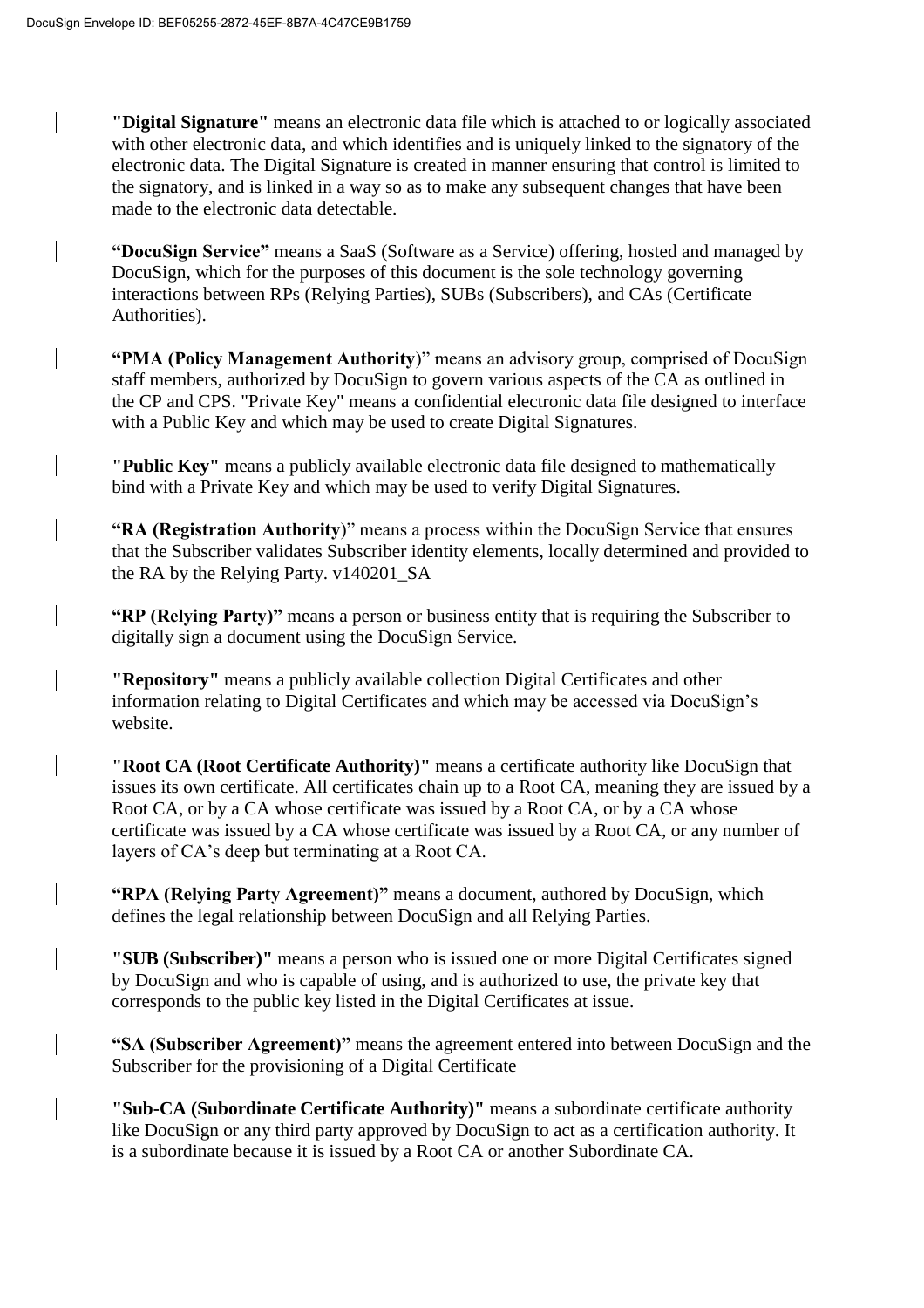**"Digital Signature"** means an electronic data file which is attached to or logically associated with other electronic data, and which identifies and is uniquely linked to the signatory of the electronic data. The Digital Signature is created in manner ensuring that control is limited to the signatory, and is linked in a way so as to make any subsequent changes that have been made to the electronic data detectable.

**"DocuSign Service"** means a SaaS (Software as a Service) offering, hosted and managed by DocuSign, which for the purposes of this document is the sole technology governing interactions between RPs (Relying Parties), SUBs (Subscribers), and CAs (Certificate Authorities).

**"PMA (Policy Management Authority**)" means an advisory group, comprised of DocuSign staff members, authorized by DocuSign to govern various aspects of the CA as outlined in the CP and CPS. "Private Key" means a confidential electronic data file designed to interface with a Public Key and which may be used to create Digital Signatures.

**"Public Key"** means a publicly available electronic data file designed to mathematically bind with a Private Key and which may be used to verify Digital Signatures.

**"RA (Registration Authority**)" means a process within the DocuSign Service that ensures that the Subscriber validates Subscriber identity elements, locally determined and provided to the RA by the Relying Party. v140201\_SA

**"RP (Relying Party)"** means a person or business entity that is requiring the Subscriber to digitally sign a document using the DocuSign Service.

**"Repository"** means a publicly available collection Digital Certificates and other information relating to Digital Certificates and which may be accessed via DocuSign's website.

**"Root CA (Root Certificate Authority)"** means a certificate authority like DocuSign that issues its own certificate. All certificates chain up to a Root CA, meaning they are issued by a Root CA, or by a CA whose certificate was issued by a Root CA, or by a CA whose certificate was issued by a CA whose certificate was issued by a Root CA, or any number of layers of CA's deep but terminating at a Root CA.

**"RPA (Relying Party Agreement)"** means a document, authored by DocuSign, which defines the legal relationship between DocuSign and all Relying Parties.

**"SUB (Subscriber)"** means a person who is issued one or more Digital Certificates signed by DocuSign and who is capable of using, and is authorized to use, the private key that corresponds to the public key listed in the Digital Certificates at issue.

**"SA (Subscriber Agreement)"** means the agreement entered into between DocuSign and the Subscriber for the provisioning of a Digital Certificate

**"Sub-CA (Subordinate Certificate Authority)"** means a subordinate certificate authority like DocuSign or any third party approved by DocuSign to act as a certification authority. It is a subordinate because it is issued by a Root CA or another Subordinate CA.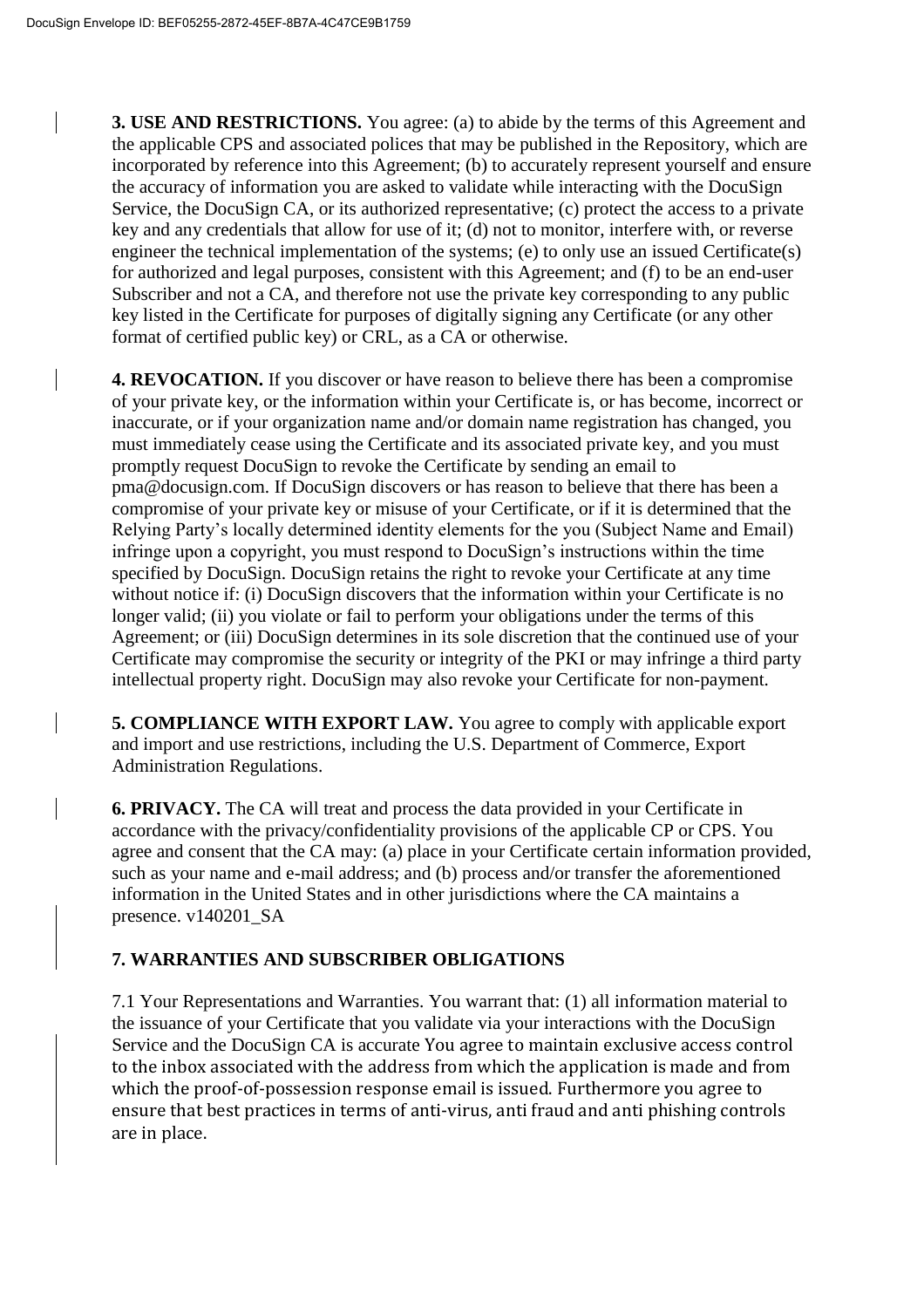**3. USE AND RESTRICTIONS.** You agree: (a) to abide by the terms of this Agreement and the applicable CPS and associated polices that may be published in the Repository, which are incorporated by reference into this Agreement; (b) to accurately represent yourself and ensure the accuracy of information you are asked to validate while interacting with the DocuSign Service, the DocuSign CA, or its authorized representative; (c) protect the access to a private key and any credentials that allow for use of it; (d) not to monitor, interfere with, or reverse engineer the technical implementation of the systems; (e) to only use an issued Certificate(s) for authorized and legal purposes, consistent with this Agreement; and (f) to be an end-user Subscriber and not a CA, and therefore not use the private key corresponding to any public key listed in the Certificate for purposes of digitally signing any Certificate (or any other format of certified public key) or CRL, as a CA or otherwise.

**4. REVOCATION.** If you discover or have reason to believe there has been a compromise of your private key, or the information within your Certificate is, or has become, incorrect or inaccurate, or if your organization name and/or domain name registration has changed, you must immediately cease using the Certificate and its associated private key, and you must promptly request DocuSign to revoke the Certificate by sending an email to pma@docusign.com. If DocuSign discovers or has reason to believe that there has been a compromise of your private key or misuse of your Certificate, or if it is determined that the Relying Party's locally determined identity elements for the you (Subject Name and Email) infringe upon a copyright, you must respond to DocuSign's instructions within the time specified by DocuSign. DocuSign retains the right to revoke your Certificate at any time without notice if: (i) DocuSign discovers that the information within your Certificate is no longer valid; (ii) you violate or fail to perform your obligations under the terms of this Agreement; or (iii) DocuSign determines in its sole discretion that the continued use of your Certificate may compromise the security or integrity of the PKI or may infringe a third party intellectual property right. DocuSign may also revoke your Certificate for non-payment.

**5. COMPLIANCE WITH EXPORT LAW.** You agree to comply with applicable export and import and use restrictions, including the U.S. Department of Commerce, Export Administration Regulations.

**6. PRIVACY.** The CA will treat and process the data provided in your Certificate in accordance with the privacy/confidentiality provisions of the applicable CP or CPS. You agree and consent that the CA may: (a) place in your Certificate certain information provided, such as your name and e-mail address; and (b) process and/or transfer the aforementioned information in the United States and in other jurisdictions where the CA maintains a presence. v140201\_SA

## **7. WARRANTIES AND SUBSCRIBER OBLIGATIONS**

7.1 Your Representations and Warranties. You warrant that: (1) all information material to the issuance of your Certificate that you validate via your interactions with the DocuSign Service and the DocuSign CA is accurate You agree to maintain exclusive access control to the inbox associated with the address from which the application is made and from which the proof-of-possession response email is issued. Furthermore you agree to ensure that best practices in terms of anti-virus, anti fraud and anti phishing controls are in place.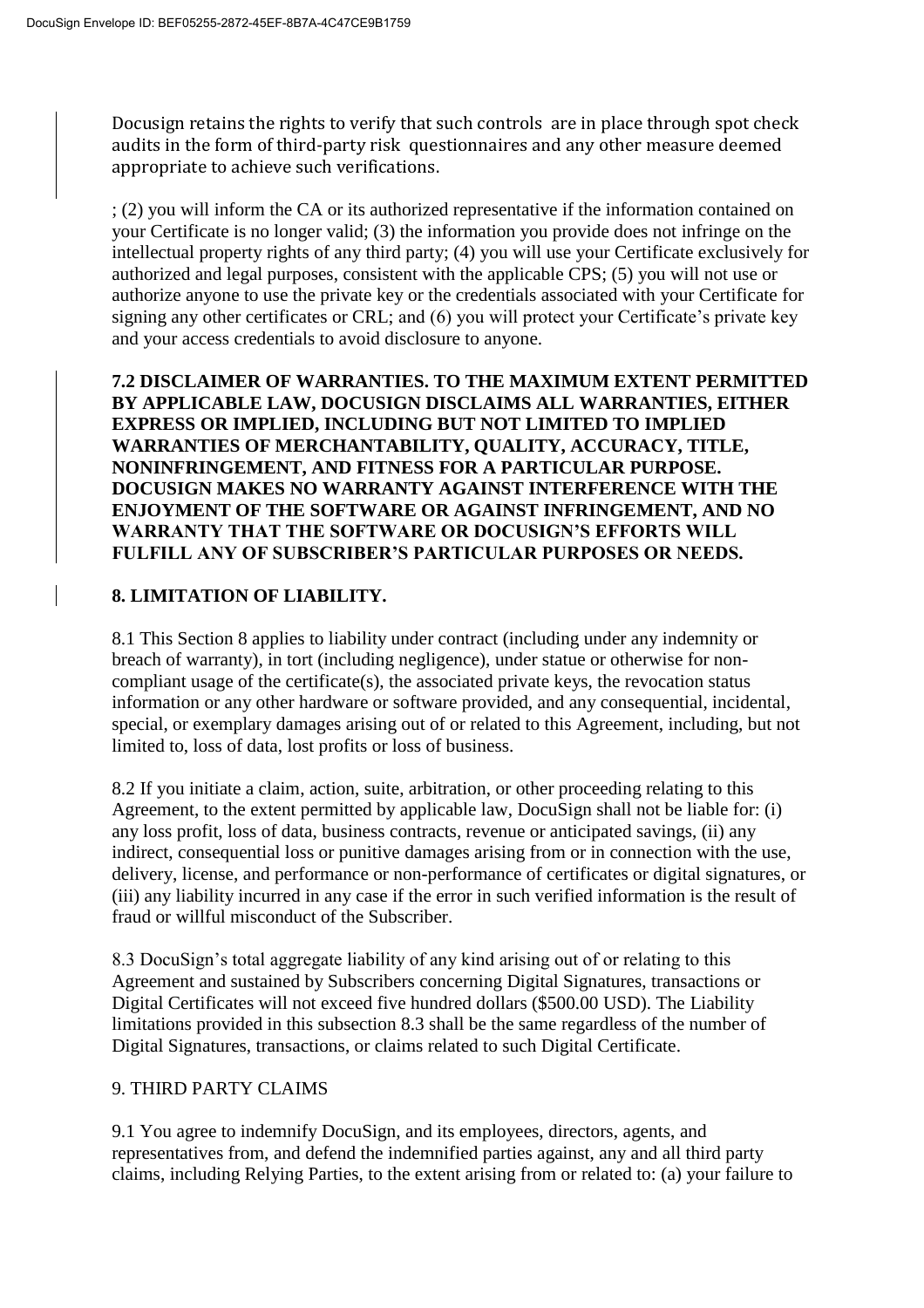Docusign retains the rights to verify that such controls are in place through spot check audits in the form of third-party risk questionnaires and any other measure deemed appropriate to achieve such verifications.

; (2) you will inform the CA or its authorized representative if the information contained on your Certificate is no longer valid; (3) the information you provide does not infringe on the intellectual property rights of any third party; (4) you will use your Certificate exclusively for authorized and legal purposes, consistent with the applicable CPS; (5) you will not use or authorize anyone to use the private key or the credentials associated with your Certificate for signing any other certificates or CRL; and (6) you will protect your Certificate's private key and your access credentials to avoid disclosure to anyone.

**7.2 DISCLAIMER OF WARRANTIES. TO THE MAXIMUM EXTENT PERMITTED BY APPLICABLE LAW, DOCUSIGN DISCLAIMS ALL WARRANTIES, EITHER EXPRESS OR IMPLIED, INCLUDING BUT NOT LIMITED TO IMPLIED WARRANTIES OF MERCHANTABILITY, QUALITY, ACCURACY, TITLE, NONINFRINGEMENT, AND FITNESS FOR A PARTICULAR PURPOSE. DOCUSIGN MAKES NO WARRANTY AGAINST INTERFERENCE WITH THE ENJOYMENT OF THE SOFTWARE OR AGAINST INFRINGEMENT, AND NO WARRANTY THAT THE SOFTWARE OR DOCUSIGN'S EFFORTS WILL FULFILL ANY OF SUBSCRIBER'S PARTICULAR PURPOSES OR NEEDS.** 

## **8. LIMITATION OF LIABILITY.**

8.1 This Section 8 applies to liability under contract (including under any indemnity or breach of warranty), in tort (including negligence), under statue or otherwise for noncompliant usage of the certificate(s), the associated private keys, the revocation status information or any other hardware or software provided, and any consequential, incidental, special, or exemplary damages arising out of or related to this Agreement, including, but not limited to, loss of data, lost profits or loss of business.

8.2 If you initiate a claim, action, suite, arbitration, or other proceeding relating to this Agreement, to the extent permitted by applicable law, DocuSign shall not be liable for: (i) any loss profit, loss of data, business contracts, revenue or anticipated savings, (ii) any indirect, consequential loss or punitive damages arising from or in connection with the use, delivery, license, and performance or non-performance of certificates or digital signatures, or (iii) any liability incurred in any case if the error in such verified information is the result of fraud or willful misconduct of the Subscriber.

8.3 DocuSign's total aggregate liability of any kind arising out of or relating to this Agreement and sustained by Subscribers concerning Digital Signatures, transactions or Digital Certificates will not exceed five hundred dollars (\$500.00 USD). The Liability limitations provided in this subsection 8.3 shall be the same regardless of the number of Digital Signatures, transactions, or claims related to such Digital Certificate.

#### 9. THIRD PARTY CLAIMS

9.1 You agree to indemnify DocuSign, and its employees, directors, agents, and representatives from, and defend the indemnified parties against, any and all third party claims, including Relying Parties, to the extent arising from or related to: (a) your failure to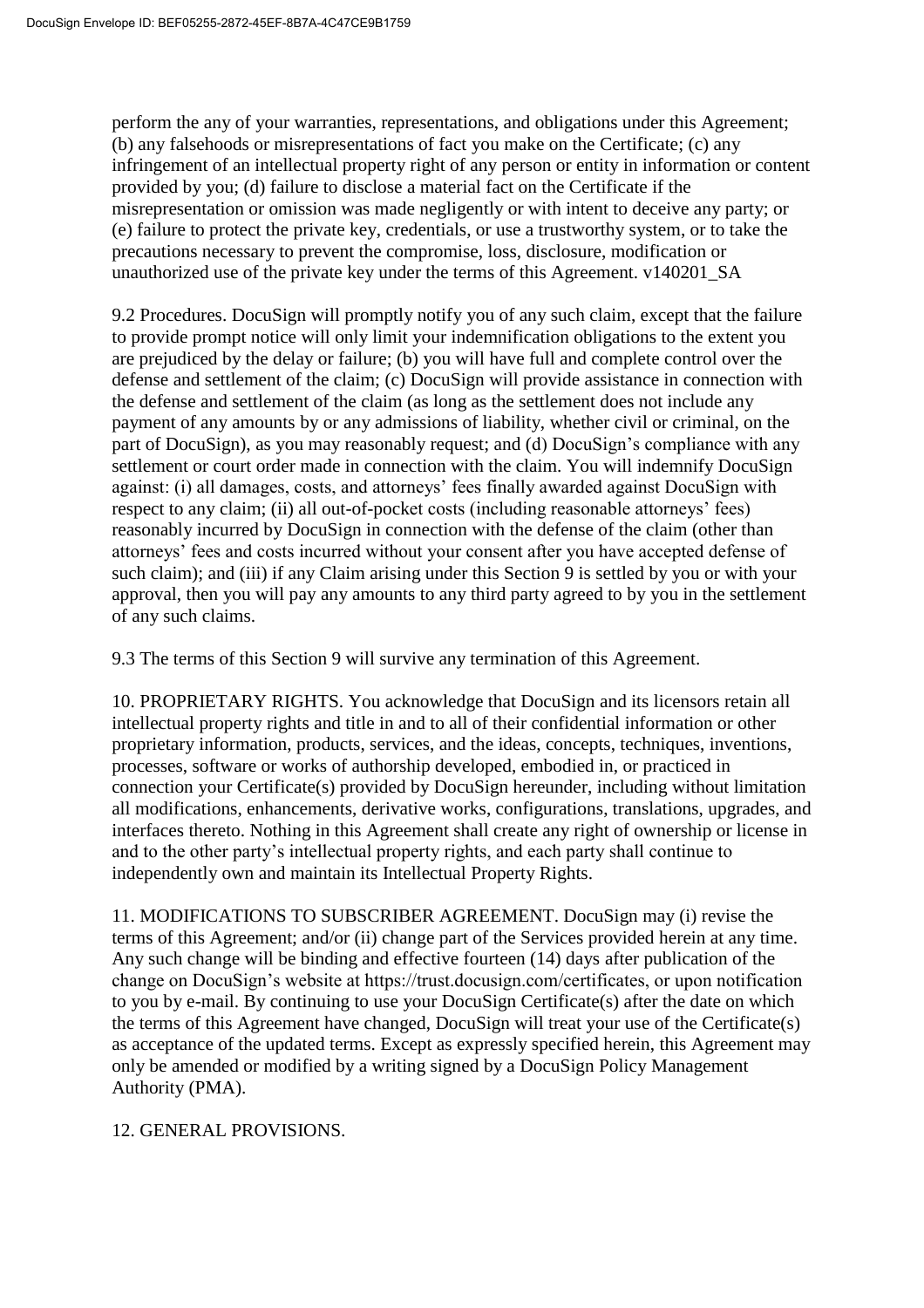perform the any of your warranties, representations, and obligations under this Agreement; (b) any falsehoods or misrepresentations of fact you make on the Certificate; (c) any infringement of an intellectual property right of any person or entity in information or content provided by you; (d) failure to disclose a material fact on the Certificate if the misrepresentation or omission was made negligently or with intent to deceive any party; or (e) failure to protect the private key, credentials, or use a trustworthy system, or to take the precautions necessary to prevent the compromise, loss, disclosure, modification or unauthorized use of the private key under the terms of this Agreement. v140201\_SA

9.2 Procedures. DocuSign will promptly notify you of any such claim, except that the failure to provide prompt notice will only limit your indemnification obligations to the extent you are prejudiced by the delay or failure; (b) you will have full and complete control over the defense and settlement of the claim; (c) DocuSign will provide assistance in connection with the defense and settlement of the claim (as long as the settlement does not include any payment of any amounts by or any admissions of liability, whether civil or criminal, on the part of DocuSign), as you may reasonably request; and (d) DocuSign's compliance with any settlement or court order made in connection with the claim. You will indemnify DocuSign against: (i) all damages, costs, and attorneys' fees finally awarded against DocuSign with respect to any claim; (ii) all out-of-pocket costs (including reasonable attorneys' fees) reasonably incurred by DocuSign in connection with the defense of the claim (other than attorneys' fees and costs incurred without your consent after you have accepted defense of such claim); and (iii) if any Claim arising under this Section 9 is settled by you or with your approval, then you will pay any amounts to any third party agreed to by you in the settlement of any such claims.

9.3 The terms of this Section 9 will survive any termination of this Agreement.

10. PROPRIETARY RIGHTS. You acknowledge that DocuSign and its licensors retain all intellectual property rights and title in and to all of their confidential information or other proprietary information, products, services, and the ideas, concepts, techniques, inventions, processes, software or works of authorship developed, embodied in, or practiced in connection your Certificate(s) provided by DocuSign hereunder, including without limitation all modifications, enhancements, derivative works, configurations, translations, upgrades, and interfaces thereto. Nothing in this Agreement shall create any right of ownership or license in and to the other party's intellectual property rights, and each party shall continue to independently own and maintain its Intellectual Property Rights.

11. MODIFICATIONS TO SUBSCRIBER AGREEMENT. DocuSign may (i) revise the terms of this Agreement; and/or (ii) change part of the Services provided herein at any time. Any such change will be binding and effective fourteen (14) days after publication of the change on DocuSign's website at https://trust.docusign.com/certificates, or upon notification to you by e-mail. By continuing to use your DocuSign Certificate(s) after the date on which the terms of this Agreement have changed, DocuSign will treat your use of the Certificate(s) as acceptance of the updated terms. Except as expressly specified herein, this Agreement may only be amended or modified by a writing signed by a DocuSign Policy Management Authority (PMA).

#### 12. GENERAL PROVISIONS.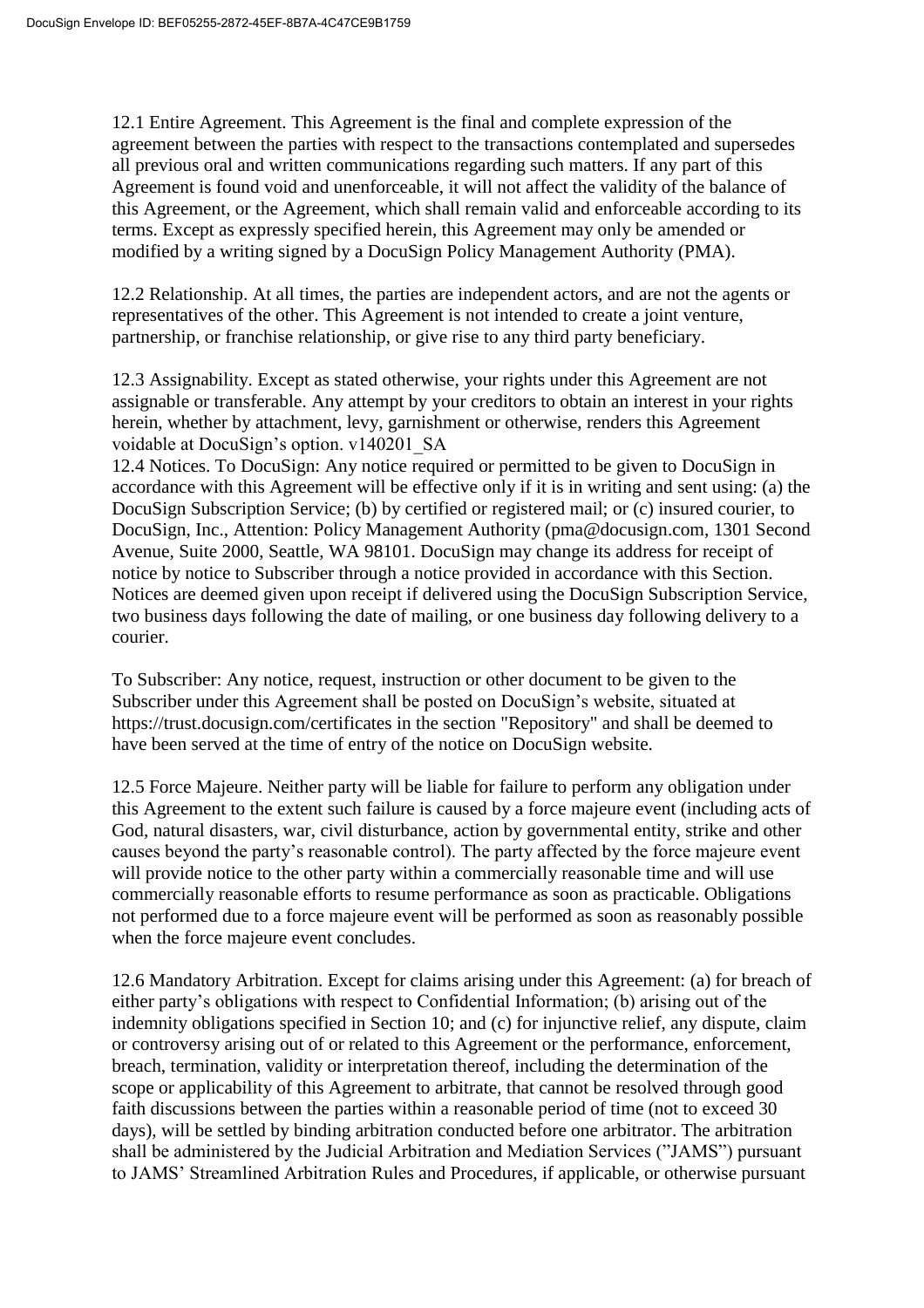12.1 Entire Agreement. This Agreement is the final and complete expression of the agreement between the parties with respect to the transactions contemplated and supersedes all previous oral and written communications regarding such matters. If any part of this Agreement is found void and unenforceable, it will not affect the validity of the balance of this Agreement, or the Agreement, which shall remain valid and enforceable according to its terms. Except as expressly specified herein, this Agreement may only be amended or modified by a writing signed by a DocuSign Policy Management Authority (PMA).

12.2 Relationship. At all times, the parties are independent actors, and are not the agents or representatives of the other. This Agreement is not intended to create a joint venture, partnership, or franchise relationship, or give rise to any third party beneficiary.

12.3 Assignability. Except as stated otherwise, your rights under this Agreement are not assignable or transferable. Any attempt by your creditors to obtain an interest in your rights herein, whether by attachment, levy, garnishment or otherwise, renders this Agreement voidable at DocuSign's option. v140201\_SA

12.4 Notices. To DocuSign: Any notice required or permitted to be given to DocuSign in accordance with this Agreement will be effective only if it is in writing and sent using: (a) the DocuSign Subscription Service; (b) by certified or registered mail; or (c) insured courier, to DocuSign, Inc., Attention: Policy Management Authority (pma@docusign.com, 1301 Second Avenue, Suite 2000, Seattle, WA 98101. DocuSign may change its address for receipt of notice by notice to Subscriber through a notice provided in accordance with this Section. Notices are deemed given upon receipt if delivered using the DocuSign Subscription Service, two business days following the date of mailing, or one business day following delivery to a courier.

To Subscriber: Any notice, request, instruction or other document to be given to the Subscriber under this Agreement shall be posted on DocuSign's website, situated at https://trust.docusign.com/certificates in the section "Repository" and shall be deemed to have been served at the time of entry of the notice on DocuSign website.

12.5 Force Majeure. Neither party will be liable for failure to perform any obligation under this Agreement to the extent such failure is caused by a force majeure event (including acts of God, natural disasters, war, civil disturbance, action by governmental entity, strike and other causes beyond the party's reasonable control). The party affected by the force majeure event will provide notice to the other party within a commercially reasonable time and will use commercially reasonable efforts to resume performance as soon as practicable. Obligations not performed due to a force majeure event will be performed as soon as reasonably possible when the force majeure event concludes.

12.6 Mandatory Arbitration. Except for claims arising under this Agreement: (a) for breach of either party's obligations with respect to Confidential Information; (b) arising out of the indemnity obligations specified in Section 10; and (c) for injunctive relief, any dispute, claim or controversy arising out of or related to this Agreement or the performance, enforcement, breach, termination, validity or interpretation thereof, including the determination of the scope or applicability of this Agreement to arbitrate, that cannot be resolved through good faith discussions between the parties within a reasonable period of time (not to exceed 30 days), will be settled by binding arbitration conducted before one arbitrator. The arbitration shall be administered by the Judicial Arbitration and Mediation Services ("JAMS") pursuant to JAMS' Streamlined Arbitration Rules and Procedures, if applicable, or otherwise pursuant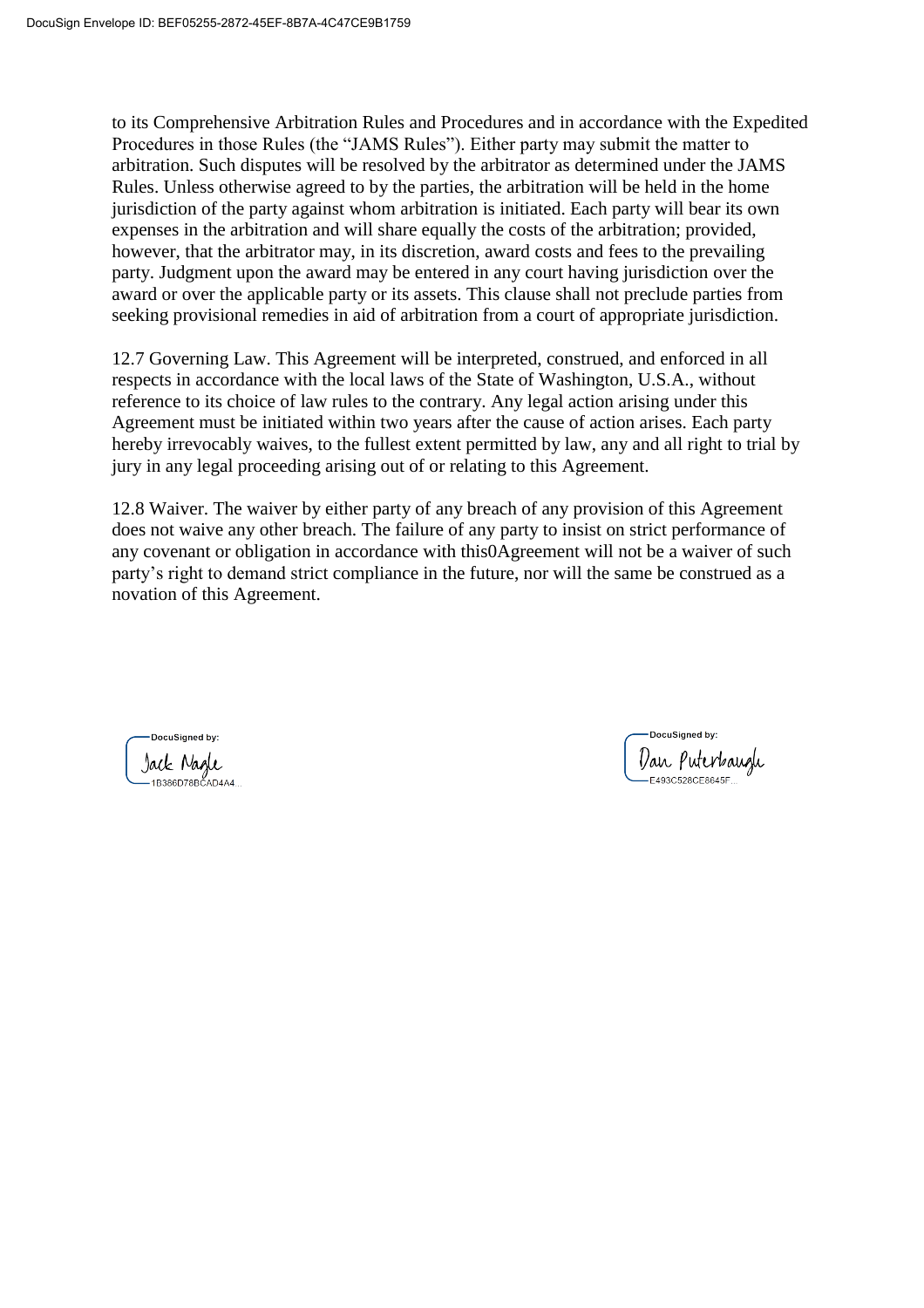to its Comprehensive Arbitration Rules and Procedures and in accordance with the Expedited Procedures in those Rules (the "JAMS Rules"). Either party may submit the matter to arbitration. Such disputes will be resolved by the arbitrator as determined under the JAMS Rules. Unless otherwise agreed to by the parties, the arbitration will be held in the home jurisdiction of the party against whom arbitration is initiated. Each party will bear its own expenses in the arbitration and will share equally the costs of the arbitration; provided, however, that the arbitrator may, in its discretion, award costs and fees to the prevailing party. Judgment upon the award may be entered in any court having jurisdiction over the award or over the applicable party or its assets. This clause shall not preclude parties from seeking provisional remedies in aid of arbitration from a court of appropriate jurisdiction.

12.7 Governing Law. This Agreement will be interpreted, construed, and enforced in all respects in accordance with the local laws of the State of Washington, U.S.A., without reference to its choice of law rules to the contrary. Any legal action arising under this Agreement must be initiated within two years after the cause of action arises. Each party hereby irrevocably waives, to the fullest extent permitted by law, any and all right to trial by jury in any legal proceeding arising out of or relating to this Agreement.

12.8 Waiver. The waiver by either party of any breach of any provision of this Agreement does not waive any other breach. The failure of any party to insist on strict performance of any covenant or obligation in accordance with this0Agreement will not be a waiver of such party's right to demand strict compliance in the future, nor will the same be construed as a novation of this Agreement.

**DocuSianed by:** Jack Nagle<br>-1B386D78BCAD4A4.

DocuSianed by: Dan Puterbaugh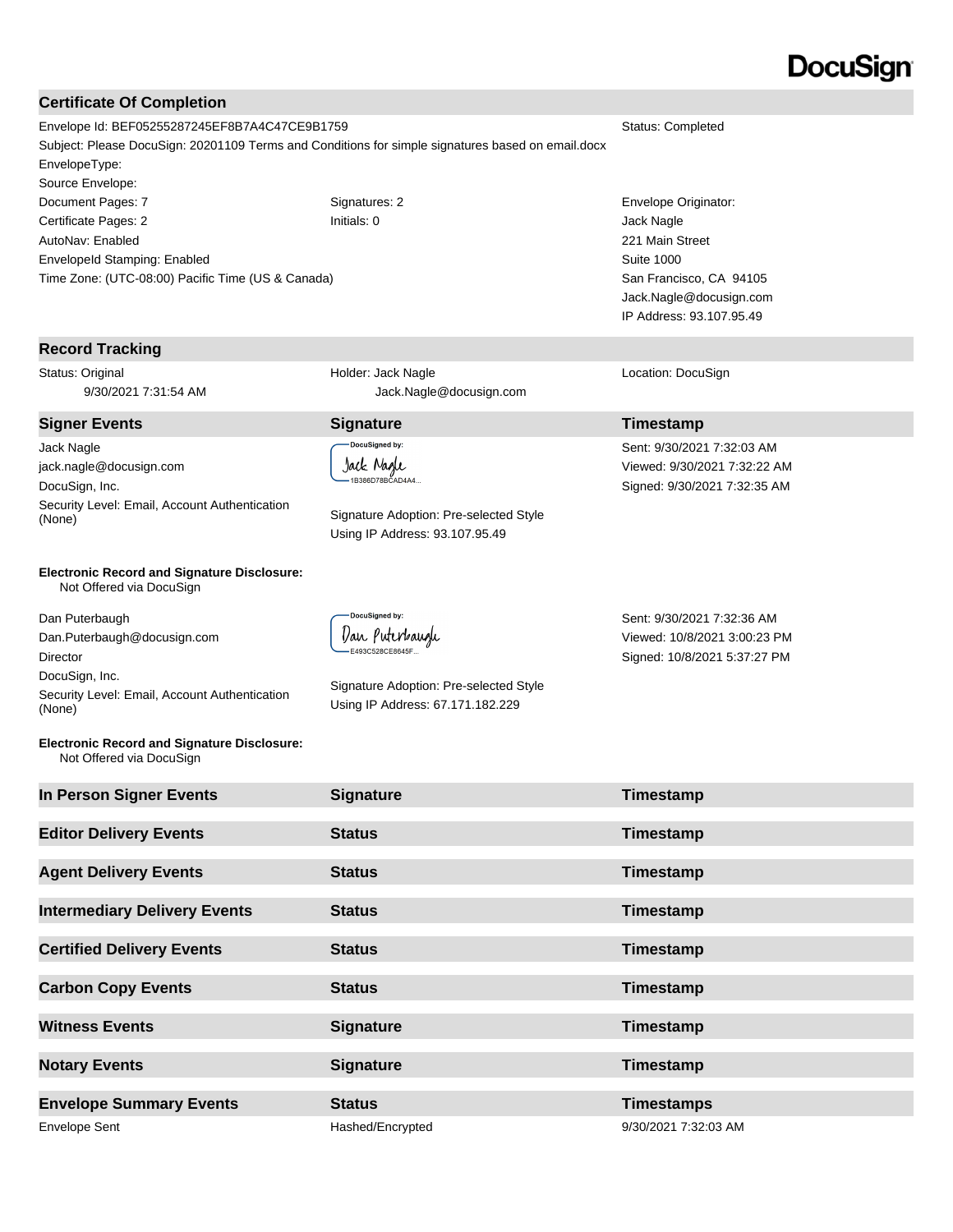# DocuSign

#### **Certificate Of Completion**

Envelope Id: BEF05255287245EF8B7A4C47CE9B1759 Status: Completed Subject: Please DocuSign: 20201109 Terms and Conditions for simple signatures based on email.docx EnvelopeType: Source Envelope: Document Pages: 7 Signatures: 2 Signatures: 2 Envelope Originator: Certificate Pages: 2 Initials: 0 Jack Nagle AutoNav: Enabled EnvelopeId Stamping: Enabled

**Record Tracking**

Status: Original 9/30/2021 7:31:54 AM

Jack Nagle jack.nagle@docusign.com DocuSign, Inc. Security Level: Email, Account Authentication (None) Signature Adoption: Pre-selected Style

Time Zone: (UTC-08:00) Pacific Time (US & Canada)

#### **Electronic Record and Signature Disclosure:**  Not Offered via DocuSign

Dan Puterbaugh Dan.Puterbaugh@docusign.com Director DocuSign, Inc. Security Level: Email, Account Authentication (None)

**Electronic Record and Signature Disclosure:**  Not Offered via DocuSign

 Jack.Nagle@docusign.com **Signer Events Signature Timestamp**

> **DocuSigned by:** Jack Nagle 1B386D78BCAD4A4...

Holder: Jack Nagle

Using IP Address: 93.107.95.49



Signature Adoption: Pre-selected Style Using IP Address: 67.171.182.229

Sent: 9/30/2021 7:32:36 AM Viewed: 10/8/2021 3:00:23 PM Signed: 10/8/2021 5:37:27 PM

221 Main Street Suite 1000

Location: DocuSign

Sent: 9/30/2021 7:32:03 AM Viewed: 9/30/2021 7:32:22 AM Signed: 9/30/2021 7:32:35 AM

San Francisco, CA 94105 Jack.Nagle@docusign.com IP Address: 93.107.95.49

| In Person Signer Events             | <b>Signature</b> | Timestamp            |
|-------------------------------------|------------------|----------------------|
| <b>Editor Delivery Events</b>       | <b>Status</b>    | Timestamp            |
| <b>Agent Delivery Events</b>        | <b>Status</b>    | Timestamp            |
| <b>Intermediary Delivery Events</b> | <b>Status</b>    | Timestamp            |
| <b>Certified Delivery Events</b>    | <b>Status</b>    | Timestamp            |
| <b>Carbon Copy Events</b>           | <b>Status</b>    | Timestamp            |
| <b>Witness Events</b>               | <b>Signature</b> | Timestamp            |
| <b>Notary Events</b>                | <b>Signature</b> | Timestamp            |
| <b>Envelope Summary Events</b>      | <b>Status</b>    | <b>Timestamps</b>    |
| <b>Envelope Sent</b>                | Hashed/Encrypted | 9/30/2021 7:32:03 AM |